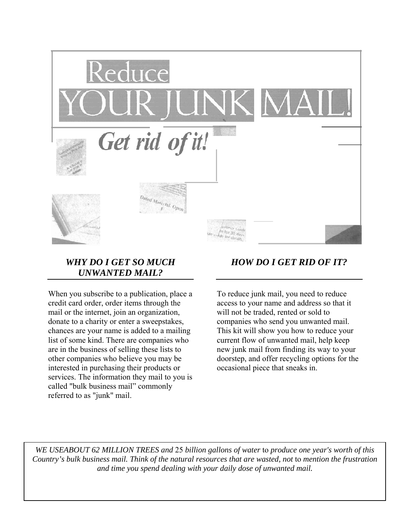

## *WHY DO I GET SO MUCH UNWANTED MAIL?*

When you subscribe to a publication, place a credit card order, order items through the mail or the internet, join an organization, donate to a charity or enter a sweepstakes, chances are your name is added to a mailing list of some kind. There are companies who are in the business of selling these lists to other companies who believe you may be interested in purchasing their products or services. The information they mail to you is called "bulk business mail" commonly referred to as "junk" mail.

# *HOW DO I GET RID OF IT?*

To reduce junk mail, you need to reduce access to your name and address so that it will not be traded, rented or sold to companies who send you unwanted mail. This kit will show you how to reduce your current flow of unwanted mail, help keep new junk mail from finding its way to your doorstep, and offer recycling options for the occasional piece that sneaks in.

*WE USEABOUT 62 MILLION TREES and* 25 *billion gallons of water* to *produce one year's worth of this Country's bulk business mail. Think of the natural resources that are wasted, not* to *mention the frustration and time you spend dealing with your daily dose of unwanted mail.*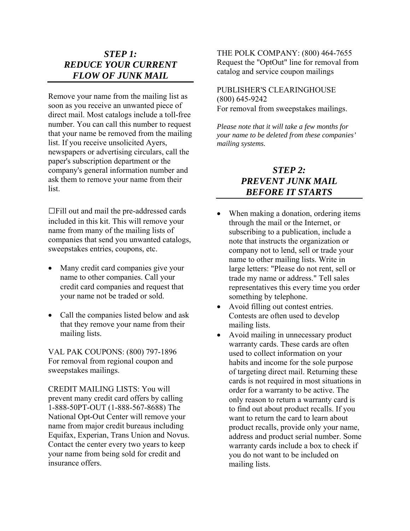## *STEP 1: REDUCE YOUR CURRENT FLOW OF JUNK MAIL*

Remove your name from the mailing list as soon as you receive an unwanted piece of direct mail. Most catalogs include a toll-free number. You can call this number to request that your name be removed from the mailing list. If you receive unsolicited Ayers, newspapers or advertising circulars, call the paper's subscription department or the company's general information number and ask them to remove your name from their list.

□Fill out and mail the pre-addressed cards included in this kit. This will remove your name from many of the mailing lists of companies that send you unwanted catalogs, sweepstakes entries, coupons, etc.

- Many credit card companies give your name to other companies. Call your credit card companies and request that your name not be traded or sold.
- Call the companies listed below and ask that they remove your name from their mailing lists.

VAL PAK COUPONS: (800) 797-1896 For removal from regional coupon and sweepstakes mailings.

CREDIT MAILING LISTS: You will prevent many credit card offers by calling 1-888-50PT-OUT (1-888-567-8688) The National Opt-Out Center will remove your name from major credit bureaus including Equifax, Experian, Trans Union and Novus. Contact the center every two years to keep your name from being sold for credit and insurance offers.

THE POLK COMPANY: (800) 464-7655 Request the "OptOut" line for removal from catalog and service coupon mailings

### PUBLISHER'S CLEARINGHOUSE (800) 645-9242 For removal from sweepstakes mailings.

*Please note that it will take a few months for your name to be deleted from these companies' mailing systems.* 

## *STEP 2: PREVENT JUNK MAIL BEFORE IT STARTS*

- When making a donation, ordering items through the mail or the Internet, or subscribing to a publication, include a note that instructs the organization or company not to lend, sell or trade your name to other mailing lists. Write in large letters: "Please do not rent, sell or trade my name or address." Tell sales representatives this every time you order something by telephone.
- Avoid filling out contest entries. Contests are often used to develop mailing lists.
- Avoid mailing in unnecessary product warranty cards. These cards are often used to collect information on your habits and income for the sole purpose of targeting direct mail. Returning these cards is not required in most situations in order for a warranty to be active. The only reason to return a warranty card is to find out about product recalls. If you want to return the card to learn about product recalls, provide only your name, address and product serial number. Some warranty cards include a box to check if you do not want to be included on mailing lists.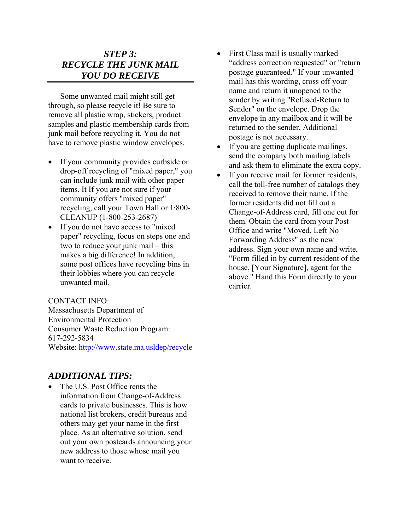### *STEP 3: RECYCLE THE JUNK MAIL YOU DO RECEIVE*

Some unwanted mail might still get through, so please recycle it! Be sure to remove all plastic wrap, stickers, product samples and plastic membership cards from junk mail before recycling it. You do not have to remove plastic window envelopes.

- If your community provides curbside or drop-off recycling of "mixed paper," you can include junk mail with other paper items. It If you are not sure if your community offers "mixed paper" recycling, call your Town Hall or 1·800- CLEANUP (1-800-253-2687)
- If you do not have access to "mixed" paper" recycling, focus on steps one and two to reduce your junk mail – this makes a big difference! In addition, some post offices have recycling bins in their lobbies where you can recycle unwanted mail.

#### CONTACT INFO:

Massachusetts Department of Environmental Protection Consumer Waste Reduction Program: 617-292-5834 Website: <http://www.state.ma.usldep/recycle>

### *ADDITIONAL TIPS:*

The U.S. Post Office rents the information from Change-of-Address cards to private businesses. This is how national list brokers, credit bureaus and others may get your name in the first place. As an alternative solution, send out your own postcards announcing your new address to those whose mail you want to receive.

- First Class mail is usually marked "address correction requested" or "return postage guaranteed." If your unwanted mail has this wording, cross off your name and return it unopened to the sender by writing "Refused-Return to Sender" on the envelope. Drop the envelope in any mailbox and it will be returned to the sender, Additional postage is not necessary.
- If you are getting duplicate mailings, send the company both mailing labels and ask them to eliminate the extra copy.
- If you receive mail for former residents, call the toll-free number of catalogs they received to remove their name. If the former residents did not fill out a Change-of-Address card, fill one out for them. Obtain the card from your Post Office and write "Moved, Left No Forwarding Address" as the new address. Sign your own name and write, "Form filled in by current resident of the house, [Your Signature], agent for the above." Hand this Form directly to your carrier.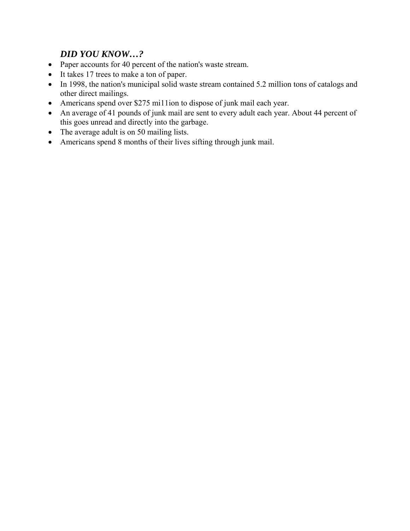# *DID YOU KNOW…?*

- Paper accounts for 40 percent of the nation's waste stream.
- It takes 17 trees to make a ton of paper.
- In 1998, the nation's municipal solid waste stream contained 5.2 million tons of catalogs and other direct mailings.
- Americans spend over \$275 mi11ion to dispose of junk mail each year.
- An average of 41 pounds of junk mail are sent to every adult each year. About 44 percent of this goes unread and directly into the garbage.
- The average adult is on 50 mailing lists.
- Americans spend 8 months of their lives sifting through junk mail.